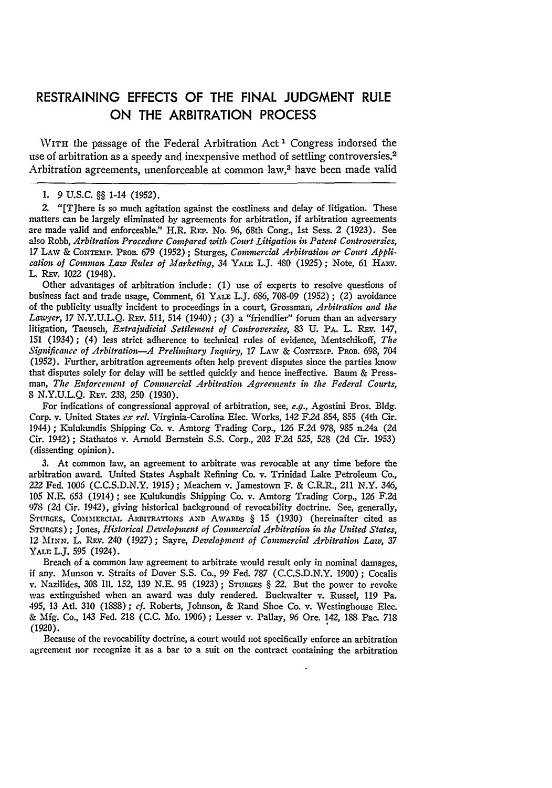## **RESTRAINING EFFECTS** OF THE **FINAL JUDGMENT** RULE **ON** THE ARBITRATION **PROCESS**

WITH the passage of the Federal Arbitration Act **I** Congress indorsed the use of arbitration as a speedy and inexpensive method of settling controversies.<sup>2</sup> Arbitration agreements, unenforceable at common law,3 have been made valid

**2.** "[T]here is so much agitation against the costliness and delay of litigation. These matters can be largely eliminated **by** agreements for arbitration, if arbitration agreements are made valid and enforceable." H.R. **REP.** No. **96,** 68th Cong., 1st Sess. 2 **(1923).** See also Robb, *Arbitration Procedure Compared with Court Litigation in Patent Controversies,* 17 LAW **& CoNxEmP. PROB. 679** (1952) ; Sturges, *Commercial Arbitration or Court Application of Common Law Rules of Marketing,* 34 YALE L.J. 480 (1925) ; Note, 61 HARV. L. REv. 1022 (1948).

Other advantages of arbitration include: (1) use of experts to resolve questions of business fact and trade usage, Comment, 61 YALE L.J. 686, *708-09* (1952) ; (2) avoidance of the publicity usually incident to proceedings in a court, Grossman, *Arbitration and the Lawyer,* 17 **N.Y.U.L.Q.** REv. 511, 514 (1940) ; (3) a "friendlier" forum than an adversary litigation, Taeusch, *Extrajudicial Settlement of Controversies,* **83 U.** PA. L. **REv.** 147, 151 (1934); (4) less strict adherence to technical rules of evidence, Mentschikoff, *The Significance of Arbitration--A Preliminary Inquiry,* **17 LAW** & CONTEmP. PROa. 698, 704 (1952). Further, arbitration agreements often help prevent disputes since the parties know that disputes solely for delay will be settled quickly and hence ineffective. Baum & Pressman, *The Enforcement of Commercial Arbitration Agreements in the Federal Courts,* 8 N.Y.U.L.Q. Rev. 238, 250 (1930).

For indications of congressional approval of arbitration, see, *e.g.,* Agostini Bros. **Bldg.** Corp. v. United States *ex rel.* Virginia-Carolina Elec. Works, 142 F2d 854, **855** (4th Cir. 1944) **;** Kulukundis Shipping Co. v. Amtorg Trading Corp., **126 F.2d** 978, **985** n24a (2d Cir. 1942) ; Stathatos v. Arnold Bernstein **S.S.** Corp., 202 **F.2d 525, 528 (2d** Cir. **1953)** (dissenting opinion).

**3.** At common law, an agreement to arbitrate was revocable at any time before the arbitration award. United States Asphalt Refining Co. v. Trinidad Lake Petroleum Co., 222 Fed. **1006 (C.C.S.D.N.Y. 1915);** Meachem v. Jamestown F. **&** C.R.R., 211 N.Y. 346, **105 N.E. 653** (1914); see Kulukundis Shipping Co. v. Amtorg Trading Corp., **126 F.2d 978 (2d** Cir. 1942), giving historical background of revocability doctrine. See, generally, STURGES, **COMMiERCIAL ARBITRATIoNS AND** AWARDS § 15 (1930) (hereinafter cited as **STURGES) ;** Jones, *Historical Development of Commercial Arbitration in the United States,* 12 **MiNe.** L. Rav. 240 **(1927);** Sayre, *Development of Commercial Arbitration Law, 37* YALE L.J. **595** (1924).

Breach of a common law agreement to arbitrate would result only in nominal damages, if any. Munson v. Straits of Dover **S.S.** Co., **99** Fed. **787 (C.C.S.D.N.Y. 1900) ;** Cocalis v. Nazilides, **308** Ill. 152, **139 N.E. 95 (1923); STURGES** § 22. But the power to revoke was extinguished when an award was duly rendered. Buckwalter v. Russel, **119** Pa. 495, **13** At. **310 (1888);** *cf.* Roberts, Johnson, & Rand Shoe **Co.** v. Westinghouse Elec. & **Mfg.** Co., 143 **Fed.** 218 **(C.C.** Mo. **1906)** ; Lesser v. Pallay, 96 Ore. 142, **188** Pac. **718 (1920).**

Because of the revocability doctrine, a court would not specifically enforce an arbitration agreement nor recognize it as a bar to a suit on the contract containing the arbitration

<sup>1. 9</sup> U.S.C. §§ 1-14 (1952).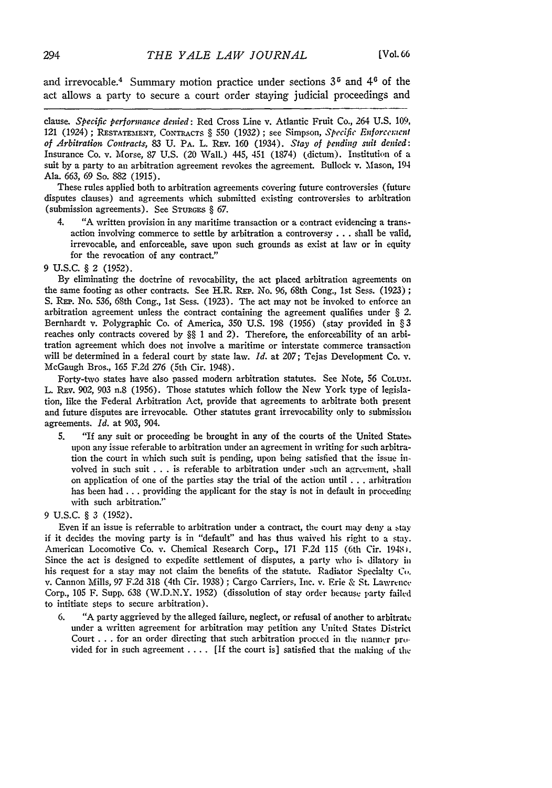and irrevocable.<sup>4</sup> Summary motion practice under sections 3<sup>5</sup> and 4<sup>6</sup> of the act allows a party to secure a court order staying judicial proceedings and

clause. *Specific performance denied:* Red Cross Line v. Atlantic Fruit Co., 264 U.S. 109, 121 (1924) ; RESATe3IENT, CONflACTS § 550 (1932) ; see Simpson, *Specific Enforcement of Arbitration Contracts,* 83 U. PA. L. REv. 160 (1934). *Stay of pending suit denied:* Insurance Co. v. Morse, 87 U.S. (20 Wall.) 445, 451 (1874) (dictum). Institution of a suit by a party to an arbitration agreement revokes the agreement. Bullock v. Mason, 194 Ala. 663, 69 So. 882 (1915).

These rules applied both to arbitration agreements covering future controversies (future disputes clauses) and agreements which submitted existing controversies to arbitration (submission agreements). See **STURGES** § 67.

4. "A written provision in any maritime transaction or a contract evidencing a transaction involving commerce to settle by arbitration a controversy **...** shall be valid, irrevocable, and enforceable, save upon such grounds as exist at law or in equity for the revocation of any contract."

## 9 U.S.C. § 2 (1952).

By eliminating the doctrine of revocability, the act placed arbitration agreements on the same footing as other contracts. See H.R. REP. No. 96, 68th Cong., 1st Sess. (1923) **;** S. REP. No. 536, 68th Cong., 1st Sess. (1923). The act may not be invoked to enforce an arbitration agreement unless the contract containing the agreement qualifies under *§ 2.* Bernhardt v. Polygraphic Co. of America, 350 U.S. 198 (1956) (stay provided in *§* 3 reaches only contracts covered **by** §§ 1 and 2). Therefore, the enforceability of an arbitration agreement which does not involve a maritime or interstate commerce transaction will be determined in a federal court by state law. *Id.* at 207; Tejas Development Co. v. McGaugh Bros., 165 F.2d 276 (5th Cir. 1948).

Forty-two states have also passed modern arbitration statutes. See Note, 56 COLUm. L. REv. 902, 903 n.8 (1956). Those statutes which follow the New York type of legislation, like the Federal Arbitration Act, provide that agreements to arbitrate both present and future disputes are irrevocable. Other statutes grant irrevocability only to submission agreements. *Id.* at 903, 904.

5. "If any suit or proceeding be brought in any of the courts of the United States upon any issue referable to arbitration under an agreement in writing for such arbitration the court in which such suit is pending, upon being satisfied that the issue involved in such suit ... is referable to arbitration under such an agreement, shall on application of one of the parties stay the trial of the action until .**..** arbitration has been had ... providing the applicant for the stay is not in default in proceeding with such arbitration."

## 9 U.S.C. § 3 (1952).

Even if an issue is referrable to arbitration under a contract, the court may deny a stay if it decides the moving party is in "default" and has thus waived his right to a stay. American Locomotive Co. v. Chemical Research Corp., 171 F.2d 115 (6th Cir. 1948). Since the act is designed to expedite settlement of disputes, a party who is dilatory **in** his request for a stay may not claim the benefits of the statute. Radiator Specialty **Co.** v. Cannon Mills, **97** F.2d 318 (4th Cir. 1938) ; Cargo Carriers, Inc. v. Erie & St. Lawrence-Corp., 105 F. Supp. 638 (W.D.N.Y. 1952) (dissolution of stay order because party failed to intitiate steps to secure arbitration).

6. **"A** party aggrieved by the alleged failure, neglect, or refusal of another to arbitrate under a written agreement for arbitration may petition any United States District Court .. .for an order directing that such arbitration proceed in the manncr provided for in such agreement .... **[If** the court is] satisfied that the making of the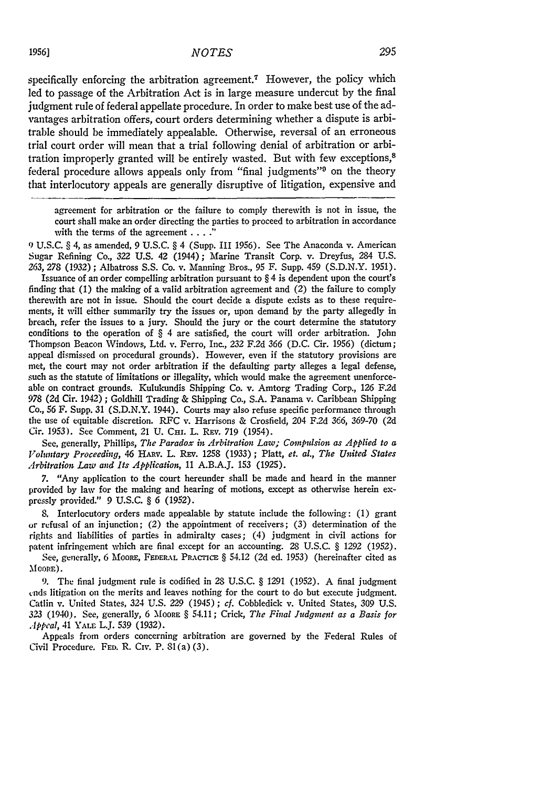specifically enforcing the arbitration agreement.<sup>7</sup> However, the policy which led to passage of the Arbitration Act is in large measure undercut by the final judgment rule of federal appellate procedure. In order to make best use of the advantages arbitration offers, court orders determining whether a dispute is arbitrable should be immediately appealable. Otherwise, reversal of an erroneous trial court order will mean that a trial following denial of arbitration or arbitration improperly granted will be entirely wasted. But with few exceptions,<sup>8</sup> federal procedure allows appeals only from "final judgments"<sup>9</sup> on the theory that interlocutory appeals are generally disruptive of litigation, expensive and

agreement for arbitration or the failure to comply therewith is not in issue, the court shall make an order directing the parties to proceed to arbitration in accordance with the terms of the agreement **.... "**

*9)* U.S.C. § 4, as amended, 9 U.S.C. § 4 (Supp. III 1956). See The Anaconda v. American Sugar Refining Co., 322 **U.S.** 42 (1944); Marine Transit Corp. v. Dreyfus, 284 U.S. *263,* 278 (1932); Albatross S.S. Co. v. Manning Bros., 95 F. Supp. 459 **(S.D.N.Y.** 1951).

Issuance of an order compelling arbitration pursuant to § 4 is dependent upon the court's finding that (1) the making of a valid arbitration agreement and *(2)* the failure to comply therewith are not in issue. Should the court decide a dispute exists as to these requirements, it will either summarily try the issues or, upon demand by the party allegedly in breach, refer the issues to a jury. Should the jury or the court determine the statutory conditions to the operation of § 4 are satisfied, the court will order arbitration. John Thompson Beacon Windows, Ltd. v. Ferro, Inc., 232 F.2d *366* (D.C. Cir. 1956) (dictum; appeal dismissed on procedural grounds). However, even if the statutory provisions are met, the court may not order arbitration if the defaulting party alleges a legal defense, such as the statute of limitations or illegality, which would make the agreement unenforceable on contract grounds. Kulukundis Shipping Co. v. Amtorg Trading Corp., 126 F.2d 978 (2d Cir. 1942) ; Goldhill Trading & Shipping Co., S.A. Panama v. Caribbean Shipping Co., 56 F. Supp. 31 (S.D.N.Y. 1944). Courts may also refuse specific performance through the use of equitable discretion. RFC v. Harrisons & Crosfield, 204 F.2d 366, 369-70 (2d Cir. 1953). See Comment, 21 U. Cmr. L. REV. 719 (1954).

See, generally, Phillips, *The Paradox in Arbitration Law; Compulsion as Applied to a Voluntary Proceeding,* 46 HAuv. L. REv. **1258** (1933) **;** Platt, *et. al., The United States Arbitration Law and Its Application,* 11 A.B.A.J. **153** (1925).

7. "Any application to the court hereunder shall be made and heard in the manner provided by law for the making and hearing of motions, except as otherwise herein expressly provided." 9 U.S.C. § *6* (1952).

8. Interlocutory orders made appealable by statute include the following: (1) grant **or** refusal of an injunction; *(2)* the appointment of receivers; (3) determination of the rights and liabilities of parties in admiralty cases; (4) judgment in civil actions for patent infringement which are final except for an accounting. 28 U.S.C. § *1292* (1952).

See, generally, 6 Moore, FEDERAL PRACTICE § 54.12 (2d ed. 1953) (hereinafter cited as  $M$ OORE).

9. The final judgment rule is codified in 28 U.S.C. § *1291* (1952). A final judgment ends litigation on the merits and leaves nothing for the court to do but execute judgment. Catlin v. United States, *324* U.S. 229 (1945) *; cf.* Cobbledick v. United States, 309 U.S. *323* (1940). See, generally, 6 **MOORE** § 54.11; Crick, *The Final Judgment as a Basis for Appeal,* 41 YALE L.J. 539 (1932).

Appeals from orders concerning arbitration are governed by the Federal Rules of Civil Procedure. **FED.** R. Civ. P. 81(a) (3).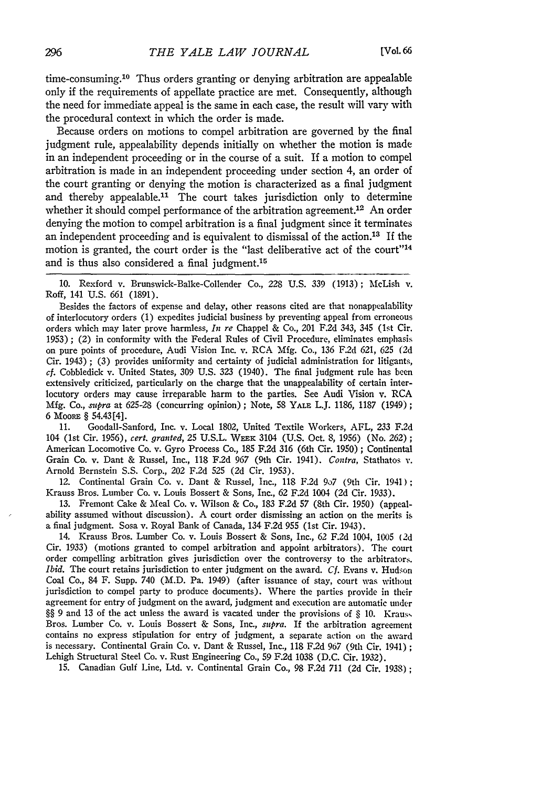time-consuming.<sup>10</sup> Thus orders granting or denying arbitration are appealable only if the requirements of appellate practice are met. Consequently, although the need for immediate appeal is the same in each case, the result will vary with the procedural context in which the order is made.

Because orders on motions to compel arbitration are governed **by** the final judgment rule, appealability depends initially on whether the motion is made in an independent proceeding or in the course of a suit. If a motion to compel arbitration is made in an independent proceeding under section 4, an order of the court granting or denying the motion is characterized as a final judgment and thereby appealable.<sup>11</sup> The court takes jurisdiction only to determine whether it should compel performance of the arbitration agreement.<sup>12</sup> An order denying the motion to compel arbitration is a final judgment since it terminates an independent proceeding and is equivalent to dismissal of the action.13 If the motion is granted, the court order is the "last deliberative act of the court"<sup>14</sup> and is thus also considered a final judgment.<sup>15</sup>

**10.** Rexford v. Brunswick-Balke-Collender Co., 228 **U.S.** 339 (1913); McLish v. Roff, 141 U.S. 661 (1891).

Besides the factors of expense and delay, other reasons cited are that nonappealability of interlocutory orders (1) expedites judicial business **by** preventing appeal from erroneous orders which may later prove harmless, *In re* Chappel & Co., 201 F.2d 343, 345 (1st Cir. 1953) ; (2) in conformity with the Federal Rules of Civil Procedure, eliminates emphasis on pure points of procedure, Audi Vision Inc. v. RCA **Mfg.** Co., 136 F.2d 621, 625 (2d Cir. 1943) ; (3) provides uniformity and certainty of judicial administration for litigants, cf. Cobbledick v. United States, 309 **U.S.** 323 (1940). The final judgment rule has been extensively criticized, particularly on the charge that the unappealability of certain interlocutory orders may cause irreparable harm to the parties. See Audi Vision v. RCA Mfg. Co., mipra at 625-28 (concurring opinion); Note, 58 **YALE** L.J. 1186, 1187 (1949); 6 MooRE § 54.43 [4].

**11.** Goodall-Sanford, Inc. v. Local 1802, United Textile Workers, AFL, 233 F.2d 104 (1st Cir. 1956), cert. granted, 25 U.S.L. WEEK 3104 (U.S. Oct. 8, 1956) (No. 262); American Locomotive Co. v. Gyro Process Co., 185 F.2d 316 (6th Cir. 1950); Continental Grain Co. v. Dant & Russel, Inc., 118 F.2d 967 (9th Cir. 1941). *Contra,* Stathatos v. Arnold Bernstein **S.S.** Corp., 202 F.2d **525** (2d Cir. 1953).

12. Continental Grain Co. v. Dant & Russel, Inc., 118 F.2d 9o7 (9th Cir. 1941); Krauss Bros. Lumber Co. v. Louis Bossert & Sons, Inc., 62 F.2d 1004 (2d Cir. 1933).

**13.** Fremont Cake & Meal Co. v. Wilson & Co., 183 F.2d 57 (8th Cir. 1950) (appealability assumed without discussion). A court order dismissing an action on the merits is a final judgment. Sosa v. Royal Bank of Canada, 134 F.2d 955 (1st Cir. 1943).

14. Krauss Bros. Lumber Co. v. Louis Bossert & Sons, Inc., 62 F.2d 1004, 1005 **(2d** Cir. 1933) (motions granted to compel arbitration and appoint arbitrators). The court order compelling arbitration gives jurisdiction over the controversy to the arbitrators. *Ibid.* The court retains jurisdiction to enter judgment on the award. *Cf.* Evans v. Hudson Coal Co., 84 F. Supp. 740 (M.D. Pa. 1949) (after issuance of stay, court was without jurisdiction to compel party to produce documents). Where the parties provide in their agreement for entry of judgment on the award, judgment and execution are automatic under §§ 9 and 13 of the act unless the award is vacated under the provisions of § **10.** Kraus, Bros. Lumber Co. v. Louis Bossert & Sons, Inc., *supra.* If the arbitration agreement contains no express stipulation for entry of judgment, a separate action on the award is necessary. Continental Grain Co. v. Dant & Russel, Inc., 118 F.2d **967** (9th Cir. 1941) Lehigh Structural Steel Co. v. Rust Engineering Co., 59 F.2d 1038 **(D.C.** Cir. 1932).

**15.** Canadian Gulf Line, Ltd. v. Continental Grain Co., 98 F.2d 711 (2d Cir. 1938);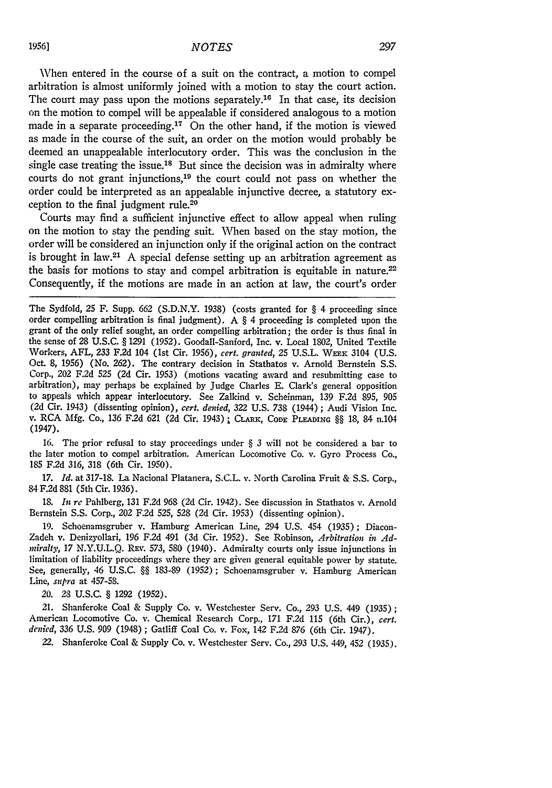When entered in the course of a suit on the contract, a motion to compel arbitration is almost uniformly joined with a motion to stay the court action. The court may pass upon the motions separately.<sup>16</sup> In that case, its decision on the motion to compel will be appealable if considered analogous to a motion made in a separate proceeding.17 On the other hand, if the motion is viewed as made in the course of the suit, an order on the motion would probably be deemed an unappealable interlocutory order. This was the conclusion in the single case treating the issue.<sup>18</sup> But since the decision was in admiralty where courts do not grant injunctions,<sup>19</sup> the court could not pass on whether the order could be interpreted as an appealable injunctive decree, a statutory exception to the final judgment rule.20

Courts may find a sufficient injunctive effect to allow appeal when ruling on the motion to stay the pending suit. When based on the stay motion, the order will be considered an injunction only if the original action on the contract is brought in law.<sup>21</sup> A special defense setting up an arbitration agreement as the basis for motions to stay and compel arbitration is equitable in nature.<sup>22</sup> Consequently, if the motions are made in an action at law, the court's order

The Sydfold, 25 F. Supp. 662 **(S.D.N.Y.** 1938) (costs granted for § 4 proceeding since order compelling arbitration is final judgment). A  $\S$  4 proceeding is completed upon the grant of the only relief sought, an order compelling arbitration; the order is thus final in the sense of 28 **U.S.C.** § 1291 (1952). Goodall-Sanford, Inc. v. Local 1802, United Textile Workers, AFL, 233 F.2d 104 (Ist Cir. 1956), *cert. granted,* 25 U.S.L. WEEK 3104 **(U.S.** Oct. **8,** *1956)* (No. 262). The contrary decision in Stathatos v. Arnold Bernstein **S.S.** Corp., 202 F.2d 525 (2d Cir. 1953) (motions vacating award and resubmitting case to arbitration), may perhaps be explained **by** Judge Charles **E.** Clark's general opposition to appeals which appear interlocutory. See Zalkind v. Scheinman, 139 F.2d 895, 905 (2d Cir. 1943) (dissenting opinion), *cert. denied,* 322 **U.S.** 738 (1944) ; Audi Vision Inc. v. RCA Mfg. Co., 136 F.2d 621 (2d Cir. 1943) **;** CLARx, **CODE PLEADING** §§ 18, 84 n.104 (1947).

16. The prior refusal to stay proceedings under § 3 will not be considered a bar to the later motion to compel arbitration. American Locomotive Co. v. Gyro Process Co., 185 F.2d 316, 318 (6th Cir. 1950).

17. *Id.* at 317-18. La Nacional Platanera, S.C.L. v. North Carolina Fruit & S.S. Corp., 84 F.2d 881 (5th Cir. 1936).

18. *in re* Pahlberg, 131 F.2d 968 (2d Cir. 1942). See discussion in Stathatos v. Arnold Bernstein S.S. Corp., 202 F.2d 525, 528 (2d Cir. 1953) (dissenting opinion).

19. Schoenamsgruber v. Hamburg American Line, 294 U.S. 454 (1935); Diacon-Zadeh v. Denizyollari, 196 F.2d 491 (3d Cir. 1952). See Robinson, *Arbitration in Adiiralty,* 17 **N.Y.U.L.Q. REv.** 573, **580** (1940). Admiralty courts only issue injunctions in limitation of liability proceedings where they are given general equitable power by statute. See, generally, 46 U.S.C. §§ 183-89 (1952); Schoenamsgruber v. Hamburg American Line, *supra* at 457-58.

*20.* 28 U.S.C. § 1292 (1952).

21. Shanferoke Coal & Supply Co. v. Westchester Serv. Co., 293 U.S. 449 (1935); American Locomotive Co. v. Chemical Research Corp., 171 F.2d 115 (6th Cir.), *cert. denied, 336* U.S. **909** (1948) ; Gatliff Coal Co. v. Fox, 142 F.2d 876 (6th Cir. 1947).

22. Shanferoke Coal & Supply Co. v. Westchester Serv. Co., 293 U.S. 449, 452 (1935).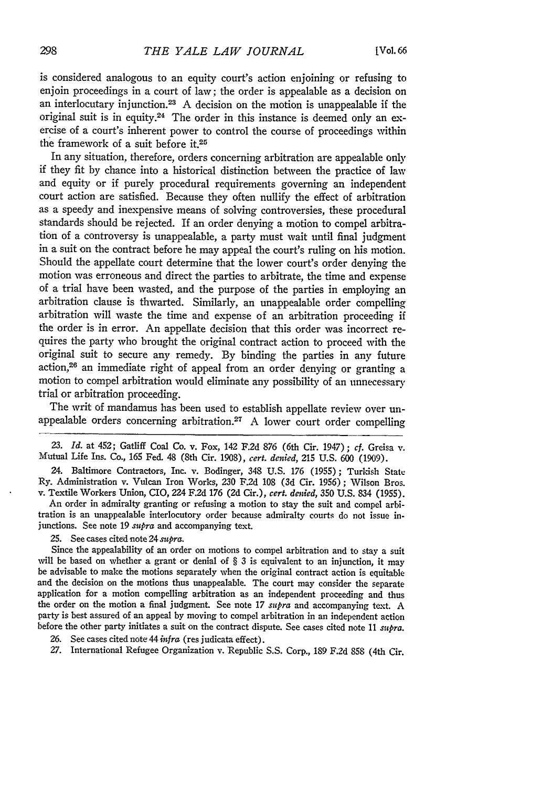is considered analogous to an equity court's action enjoining or refusing to enjoin proceedings in a court of law; the order is appealable as a decision on an interlocutary injunction.23 **A** decision on the motion is unappealable if the original suit is in equity.<sup>24</sup> The order in this instance is deemed only an exercise of a court's inherent power to control the course of proceedings within the framework of a suit before **it.25**

In any situation, therefore, orders concerning arbitration are appealable only if they fit by chance into a historical distinction between the practice of law and equity or if purely procedural requirements governing an independent court action are satisfied. Because they often nullify the effect of arbitration as a speedy and inexpensive means of solving controversies, these procedural standards should be rejected. If an order denying a motion to compel arbitration of a controversy is unappealable, a party must wait until final judgment in a suit on the contract before he may appeal the court's ruling on his motion. Should the appellate court determine that the lower court's order denying the motion was erroneous and direct the parties to arbitrate, the time and expense of a trial have been wasted, and the purpose of the parties in employing an arbitration clause is thwarted. Similarly, an unappealable order compelling arbitration will waste the time and expense of an arbitration proceeding if the order is in error. An appellate decision that this order was incorrect requires the party who brought the original contract action to proceed with the original suit to secure any remedy. By binding the parties in any future action,26 an immediate right of appeal from an order denying or granting a motion to compel arbitration would eliminate any possibility of an unnecessary trial or arbitration proceeding.

The writ of mandamus has been used to establish appellate review over unappealable orders concerning arbitration.27 A lower court order compelling

*23. Id.* at 452; Gatliff Coal Co. v. Fox, 142 F.2d 876 (6th Cir. 1947); *ef.* Greisa v. Mutual Life Ins. Co., **165** Fed. 48 (8th Cir. 1908), *cert. denied,* 215 U.S. 600 (1909).

24. Baltimore Contractors, Inc. v. Bodinger, 348 U.S. 176 (1955); Turkish State Ry. Administration v. Vulcan Iron Works, 230 F.2d 108 (3d Cir. 1956); Wilson Bros. v. Textile Workers Union, CIO, 224 F.2d 176 (2d Cir.), *cert. denied,* 350 U.S. 834 (1955).

An order in admiralty granting or refusing a motion to stay the suit and compel arbitration is an unappealable interlocutory order because admiralty courts do not issue injunctions. See note 19 *supra* and accompanying text.

## 25. See cases cited note *24 supra.*

Since the appealability of an order on motions to compel arbitration and to stay a suit will be based on whether a grant or denial of  $\S$  3 is equivalent to an injunction, it may be advisable to make the motions separately when the original contract action is equitable and the decision on the motions thus un the order on the motion a final judgment. See note 17 *supra* and accompanying text. A party is best assured of an appeal by moving to compel arbitration in an independent action before the other party initiates a suit on the contract dispute. See cases cited note 11 *supra.*

- 26. See cases cited note 44 *infra* (res judicata effect).
- 27. International Refugee Organization v. Republic S.S. Corp., 189 F.2d 858 (4th Cir.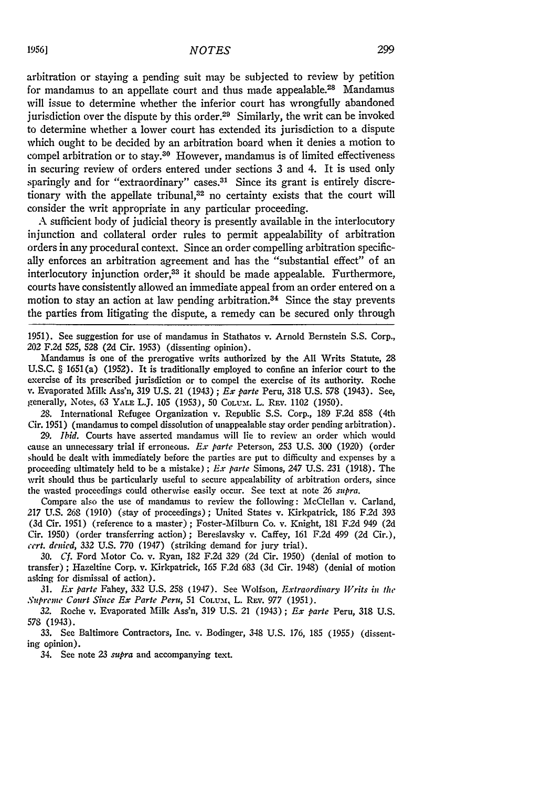arbitration or staying a pending suit may be subjected to review by petition for mandamus to an appellate court and thus made appealable.28 Mandamus will issue to determine whether the inferior court has wrongfully abandoned jurisdiction over the dispute by this order.<sup>29</sup> Similarly, the writ can be invoked to determine whether a lower court has extended its jurisdiction to a dispute which ought to be decided by an arbitration board when it denies a motion to compel arbitration or to stay.<sup>30</sup> However, mandamus is of limited effectiveness in securing review of orders entered under sections 3 and 4. It is used only sparingly and for "extraordinary" cases.<sup>31</sup> Since its grant is entirely discretionary with the appellate tribunal,<sup>32</sup> no certainty exists that the court will consider the writ appropriate in any particular proceeding.

A sufficient body of judicial theory is presently available in the interlocutory injunction and collateral order rules to permit appealability of arbitration orders in any procedural context. Since an order compelling arbitration specifically enforces an arbitration agreement and has the "substantial effect" of an interlocutory injunction order,<sup>33</sup> it should be made appealable. Furthermore courts have consistently allowed an immediate appeal from an order entered on a motion to stay an action at law pending arbitration.<sup>34</sup> Since the stay prevents the parties from litigating the dispute, a remedy can be secured only through

1951). See suggestion for use of mandamus in Stathatos v. Arnold Bernstein S.S. Corp., 202 F.2d 525, 528 (2d Cir. 1953) (dissenting opinion).

Mandamus is one of the prerogative writs authorized by the All Writs Statute, 28 U.S.C. § 1651(a) (1952). It is traditionally employed to confine an inferior court to the exercise of its prescribed jurisdiction or to compel the exercise of its authority. Roche v. Evaporated Milk Ass'n, 319 U.S. 21 (1943) *; i x parte* Peru, 318 U.S. 578 (1943). See, generally, Notes, 63 **YALE** L.J. 105 (1953), 50 CoLum. L. REv. 1102 (1950).

28. International Refugee Organization v. Republic S.S. Corp., 189 F.2d 858 (4th Cir. 1951) (mandamus to compel dissolution of unappealable stay order pending arbitration).

*29. Ibid.* Courts have asserted mandamus will lie to review an order which would cause an unnecessary trial if erroneous. *E.x parte* Peterson, 253 U.S. 300 (1920) (order should be dealt with immediately before the parties are put to difficulty and expenses by a proceeding ultimately held to be a mistake) ; *Ex parte* Simons, 247 U.S. 231 (1918). The writ should thus be particularly useful to secure appealability of arbitration orders, since the wasted proceedings could otherwise easily occur. See text at note 26 *supra.*

Compare also the use of mandamus to review the following: McClellan v. Carland, *217* U.S. 268 (1910) (stay of proceedings); United States v. Kirkpatrick, 186 F.2d 393 (3d Cir. 1951) (reference to a master); Foster-Milburn Co. v. Knight, 181 F.2d 949 (2d Cir. 1950) (order transferring action); Bereslavsky v. Caffey, 161 F.2d 499 (2d Cir.), *cert. denied,* **332 U.S.** 770 (1947) (striking demand for jury trial).

30. *Cf.* Ford Motor Co. v. Ryan, 182 F.2d 329 (2d Cir. 1950) (denial of motion to transfer) ; Hazeltine Corp. v. Kirkpatrick, **165** F.2d 683 (3d Cir. 1948) (denial of motion asking for dismissal of action).

31. *Ex parte* Fahey, 332 U.S. 258 (1947). See Wolfson, *Extraordinary Writs in the Suprene Court Since Ex Parte Peru,* 51 **COLUL,** L. REv. 977 (1951).

32. Roche v. Evaporated Milk Ass'n, 319 U.S. 21 (1943) ; *Ex parte* Peru, 318 U.S. 578 (1943).

33. See Baltimore Contractors, Inc. v. Bodinger, 348 U.S. 176, 185 (1955) (dissenting opinion).

34. See note 23 *supra* and accompanying text.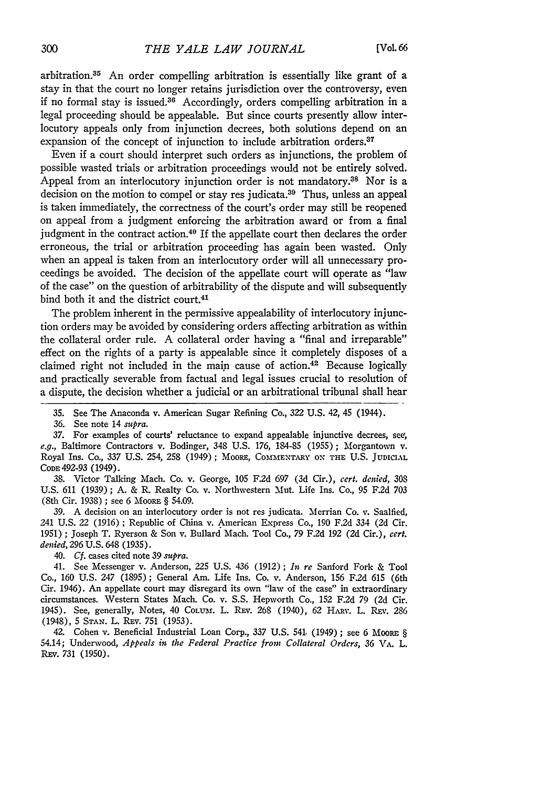arbitration.35 An order compelling arbitration is essentially like grant of a stay in that the court no longer retains jurisdiction over the controversy, even if no formal stay is issued. $36$  Accordingly, orders compelling arbitration in a legal proceeding should be appealable. But since courts presently allow interlocutory appeals only from injunction decrees, both solutions depend on an expansion of the concept of injunction to include arbitration orders.<sup>37</sup>

Even if a court should interpret such orders as injunctions, the problem of possible wasted trials or arbitration proceedings would not be entirely solved. Appeal from an interlocutory injunction order is not mandatory.<sup>38</sup> Nor is a decision on the motion to compel or stay res judicata.<sup>39</sup> Thus, unless an appeal is taken immediately, the correctness of the court's order may still be reopened on appeal from a judgment enforcing the arbitration award or from a final judgment in the contract action.<sup>40</sup> If the appellate court then declares the order erroneous, the trial or arbitration proceeding has again been wasted. Only when an appeal is taken from an interlocutory order will all unnecessary proceedings be avoided. The decision of the appellate court will operate as "law of the case" on the question of arbitrability of the dispute and will subsequently bind both it and the district court.41

The problem inherent in the permissive appealability of interlocutory injunction orders may be avoided by considering orders affecting arbitration as within the collateral order rule. A collateral order having a "final and irreparable" effect on the rights of a party is appealable since it completely disposes of a claimed right not included in the main cause of action.<sup>42</sup> Because logically and practically severable from factual and legal issues crucial to resolution of a dispute, the decision whether a judicial or an arbitrational tribunal shall hear

38. Victor Talking Mach. Co. v. George, 105 F2d 697 (3d Cir.), *cert. denied,* 308 U.S. 611 (1939); A. & R. Realty Co. v. Northwestern Mut. Life Ins. Co., **95** F.2d 703 (8th Cir. 1938) ; see 6 MooRE § 54.09.

39. A decision on an interlocutory order is not res judicata. Merrian Co. v. Saalfied, 241 U.S. 22 (1916) ; Republic of China v. American Express Co., 190 F.2d 334 (2d Cir. 1951) ; Joseph T. Ryerson & Son v. Bullard Mach. Tool Co., 79 F.2d 192 (2d Cir.), *cert. denied,* 296 U.S. 648 (1935).

40. *Cf.* cases cited note 39 *supra.*

41. See Messenger v. Anderson, 225 U.S. 436 (1912) *; In re* Sanford Fork & Tool Co., 160 U.S. *247* (1895); General Am. Life Ins. Co. v. Anderson, 156 F.2d 615 (6th Cir. 1946). An appellate court may disregard its own "law of the case" in extraordinary circumstances. Western States Mach. Co. v. S.S. Hepworth Co., 152 F.2d 79 (2d Cir. 1945). See, generally, Notes, 40 Colum. L. Rev. 268 (1940), 62 HARV. L. Rev. 286 (1948), 5 **STAN.** L. **REv.** 751 (1953).

42. Cohen v. Beneficial Industrial Loan Corp., *337* U.S. 541. (1949) **;** see 6 MOORE § 54.14; Underwood, *Appeals in the Federal Practice from Collateral Orders, 36* VA. L. REV. 731 (1950).

<sup>35.</sup> See The Anaconda v. American Sugar Refining Co., 322 U.S. 42, 45 (1944).

<sup>36.</sup> See note 14 *supra.*

**<sup>37.</sup>** For examples of courts' reluctance to expand appealable injunctive decrees, see, *e.g.,* Baltimore Contractors v. Bodinger, 348 U.S. 176, 184-85 (1955); Morgantown v. Royal Ins. Co., 337 U.S. 254, 258 (1949); MooRE, **COM.MENTARY ON THE** U.S. **JUDICaAL CODE** 492-93 (1949).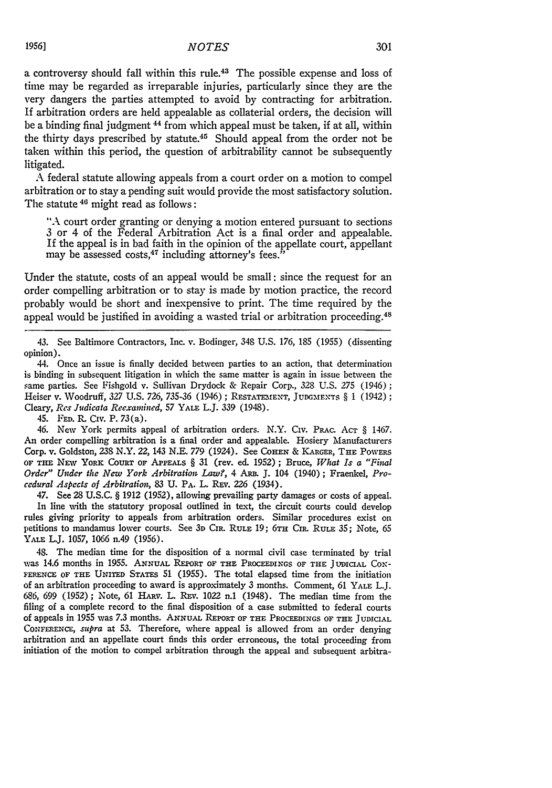a controversy should fall within this rule.<sup>43</sup> The possible expense and loss of time may be regarded as irreparable injuries, particularly since they are the very dangers the parties attempted to avoid by contracting for arbitration. If arbitration orders are held appealable as collaterial orders, the decision will be a binding final judgment 44 from which appeal must be taken, if at all, within the thirty days prescribed by statute.45 Should appeal from the order not be taken within this period, the question of arbitrability cannot be subsequently litigated.

A federal statute allowing appeals from a court order on a motion to compel arbitration or to stay a pending suit would provide the most satisfactory solution. The statute 46 might read as follows:

"A court order granting or denying a motion entered pursuant to sections 3 or 4 of the Federal Arbitration Act is a final order and appealable. If the appeal is in bad faith in the opinion of the appellate court, appellant may be assessed costs, $47$  including attorney's fees.

Under the statute, costs of an appeal would be small: since the request for an order compelling arbitration or to stay is made by motion practice, the record probably would be short and inexpensive to print. The time required by the appeal would be justified in avoiding a wasted trial or arbitration proceeding.<sup>48</sup>

43. See Baltimore Contractors, Inc. v. Bodinger, 348 U.S. 176, 185 (1955) (dissenting opinion).

44. Once an issue is finally decided between parties to an action, that determination is binding in subsequent litigation in which the same matter is again in issue between the same parties. See Fishgold v. Sullivan Drydock & Repair Corp., 328 U.S. 275 (1946); Heiser v. Woodruff, 327 U.S. 726, 735-36 (1946); RESTATEMENT, JUDGMENTS § 1 (1942); Cleary, *Res Judicata Reexamined, 57* YALE L.J. 339 (1948).

45. **FED.** R. CIv. P. 73(a).

46. New York permits appeal of arbitration orders. N.Y. Civ. PRAC. ACT § 1467. An order compelling arbitration is a final order and appealable. Hosiery Manufacturers Corp. v. Goldston, **238** N.Y. 22, 143 N.E. 779 (1924). See **CoHEN** & KARGER, **THE** PowERs **OF THE** NExv YORK COURT **OF** APPEALS § 31 (rev. ed. 1952); Bruce, *What Is a "Final Order" Under the New York Arbitration Law?,* 4 *ARn* **J.** 104 (1940); Fraenkel, *Procedural Aspects of Arbitration,* 83 **U.** PA. L. Ray. *226* (1934).

47. See 28 U.S.C. § 1912 (1952), allowing prevailing party damages or costs of appeal. In line with the statutory proposal outlined in text, the circuit courts could develop rules giving priority to appeals from arbitration orders. Similar procedures exist on petitions to mandamus lower courts. See **3D** CIR. RULE **19; 6TH** CIR. RULE 35; Note, 65 YALE L.J. **1057,** 1066 n.49 (1956).

48. The median time for the disposition of a normal civil case terminated by trial was 14.6 months in **1955. ANNUAL REPORT** OF **THE** PROCEEDINGS OF **THE JUDICIAL** CoX-**FERENCE OF THE** UNITED STATEs **51** (1955). The total elapsed time from the initiation of an arbitration proceeding to award is approximately 3 months. Comment, **61 YALE** L.J. 686, 699 (1952); Note, 61 HARv. L. REv. 1022 n.1 (1948). The median time from the filing of a complete record to the final disposition of a case submitted to federal courts of appeals in 1955 was 7.3 months. **ANNuAL REPORT** OF **THE** PROCEEDINGS OF **THE JUDICIAL** CONFERENCE, *supra* at **53.** Therefore, where appeal is allowed from an order denying arbitration and an appellate court finds this order erroneous, the total proceeding from initiation of the motion to compel arbitration through the appeal and subsequent arbitra-